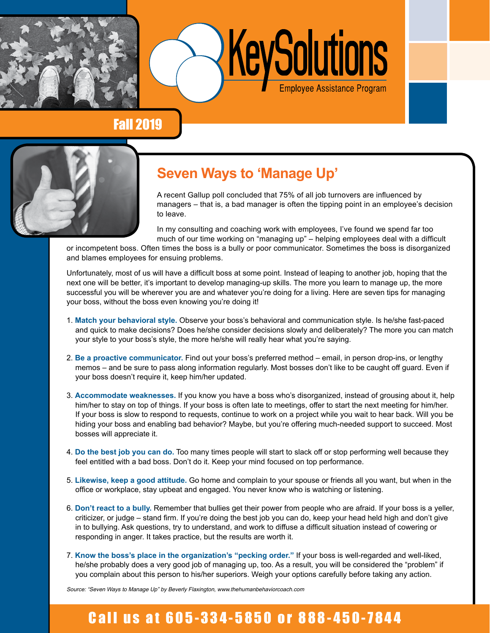



#### Fall 2019



## **Seven Ways to 'Manage Up'**

A recent Gallup poll concluded that 75% of all job turnovers are influenced by managers – that is, a bad manager is often the tipping point in an employee's decision to leave.

In my consulting and coaching work with employees, I've found we spend far too much of our time working on "managing up" – helping employees deal with a difficult

or incompetent boss. Often times the boss is a bully or poor communicator. Sometimes the boss is disorganized and blames employees for ensuing problems.

Unfortunately, most of us will have a difficult boss at some point. Instead of leaping to another job, hoping that the next one will be better, it's important to develop managing-up skills. The more you learn to manage up, the more successful you will be wherever you are and whatever you're doing for a living. Here are seven tips for managing your boss, without the boss even knowing you're doing it!

- 1. **Match your behavioral style.** Observe your boss's behavioral and communication style. Is he/she fast-paced and quick to make decisions? Does he/she consider decisions slowly and deliberately? The more you can match your style to your boss's style, the more he/she will really hear what you're saying.
- 2. **Be a proactive communicator.** Find out your boss's preferred method email, in person drop-ins, or lengthy memos – and be sure to pass along information regularly. Most bosses don't like to be caught off guard. Even if your boss doesn't require it, keep him/her updated.
- 3. **Accommodate weaknesses.** If you know you have a boss who's disorganized, instead of grousing about it, help him/her to stay on top of things. If your boss is often late to meetings, offer to start the next meeting for him/her. If your boss is slow to respond to requests, continue to work on a project while you wait to hear back. Will you be hiding your boss and enabling bad behavior? Maybe, but you're offering much-needed support to succeed. Most bosses will appreciate it.
- 4. **Do the best job you can do.** Too many times people will start to slack off or stop performing well because they feel entitled with a bad boss. Don't do it. Keep your mind focused on top performance.
- 5. **Likewise, keep a good attitude.** Go home and complain to your spouse or friends all you want, but when in the office or workplace, stay upbeat and engaged. You never know who is watching or listening.
- 6. **Don't react to a bully.** Remember that bullies get their power from people who are afraid. If your boss is a yeller, criticizer, or judge – stand firm. If you're doing the best job you can do, keep your head held high and don't give in to bullying. Ask questions, try to understand, and work to diffuse a difficult situation instead of cowering or responding in anger. It takes practice, but the results are worth it.
- 7. **Know the boss's place in the organization's "pecking order."** If your boss is well-regarded and well-liked, he/she probably does a very good job of managing up, too. As a result, you will be considered the "problem" if you complain about this person to his/her superiors. Weigh your options carefully before taking any action.

Source: "Seven Ways to Manage Up" by Beverly Flaxington, www.thehumanbehaviorcoach.com

# Call us at 605-334-5850 or 888-450-7844